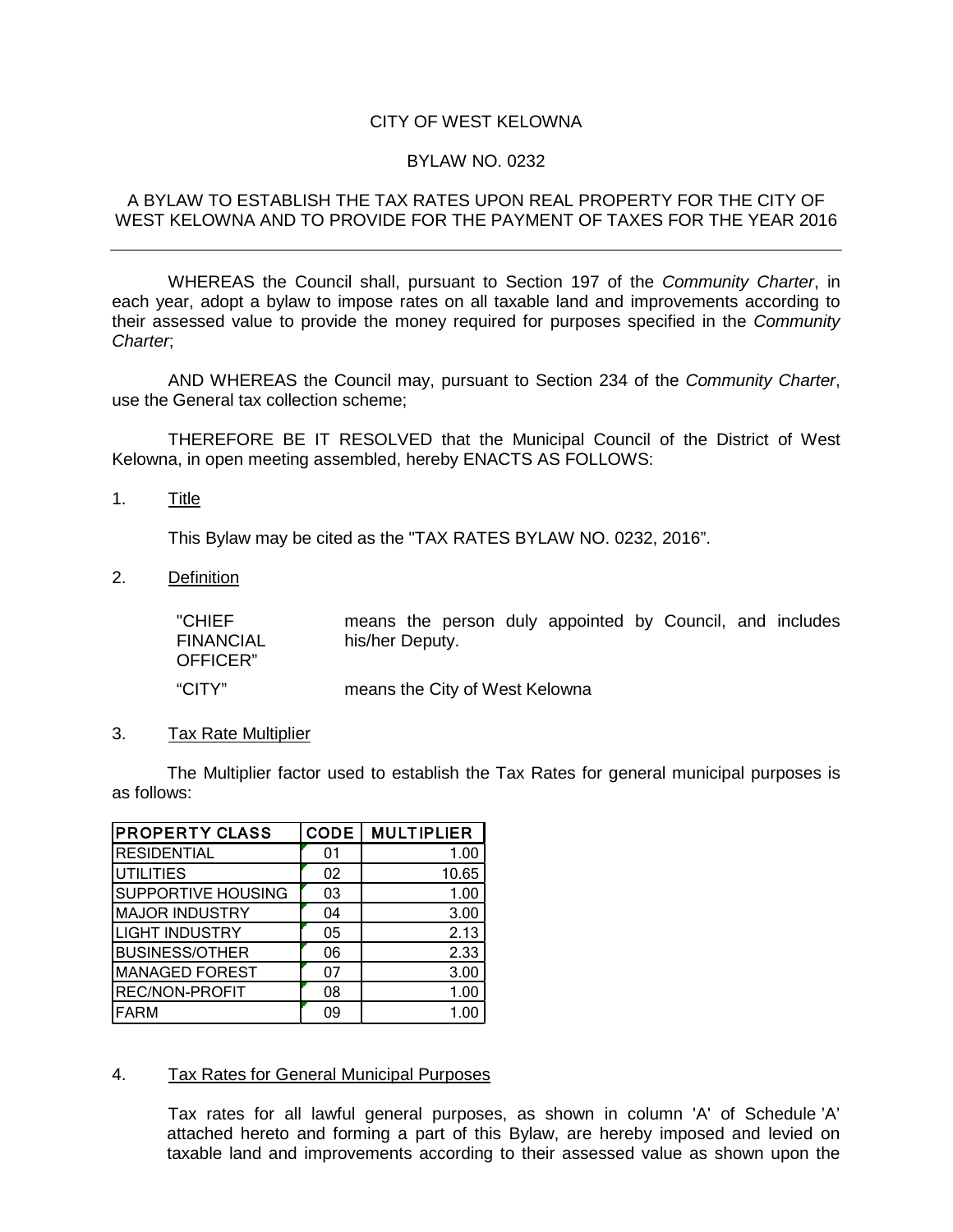# CITY OF WEST KELOWNA

## BYLAW NO. 0232

## A BYLAW TO ESTABLISH THE TAX RATES UPON REAL PROPERTY FOR THE CITY OF WEST KELOWNA AND TO PROVIDE FOR THE PAYMENT OF TAXES FOR THE YEAR 2016

WHEREAS the Council shall, pursuant to Section 197 of the *Community Charter*, in each year, adopt a bylaw to impose rates on all taxable land and improvements according to their assessed value to provide the money required for purposes specified in the *Community Charter*;

AND WHEREAS the Council may, pursuant to Section 234 of the *Community Charter*, use the General tax collection scheme;

THEREFORE BE IT RESOLVED that the Municipal Council of the District of West Kelowna, in open meeting assembled, hereby ENACTS AS FOLLOWS:

1. Title

This Bylaw may be cited as the "TAX RATES BYLAW NO. 0232, 2016".

2. Definition

"CHIEF FINANCIAL OFFICER" means the person duly appointed by Council, and includes his/her Deputy. "CITY" means the City of West Kelowna

#### 3. Tax Rate Multiplier

The Multiplier factor used to establish the Tax Rates for general municipal purposes is as follows:

| <b>PROPERTY CLASS</b> | <b>CODE</b> | <b>MULTIPLIER</b> |
|-----------------------|-------------|-------------------|
| <b>RESIDENTIAL</b>    | 01          | 1.00              |
| <b>UTILITIES</b>      | 02          | 10.65             |
| SUPPORTIVE HOUSING    | 03          | 1.00              |
| <b>MAJOR INDUSTRY</b> | 04          | 3.00              |
| <b>LIGHT INDUSTRY</b> | 05          | 2.13              |
| <b>BUSINESS/OTHER</b> | 06          | 2.33              |
| <b>MANAGED FOREST</b> | 07          | 3.00              |
| <b>REC/NON-PROFIT</b> | 08          | 1.00              |
| <b>FARM</b>           | 09          | 1.00              |

## 4. Tax Rates for General Municipal Purposes

Tax rates for all lawful general purposes, as shown in column 'A' of Schedule 'A' attached hereto and forming a part of this Bylaw, are hereby imposed and levied on taxable land and improvements according to their assessed value as shown upon the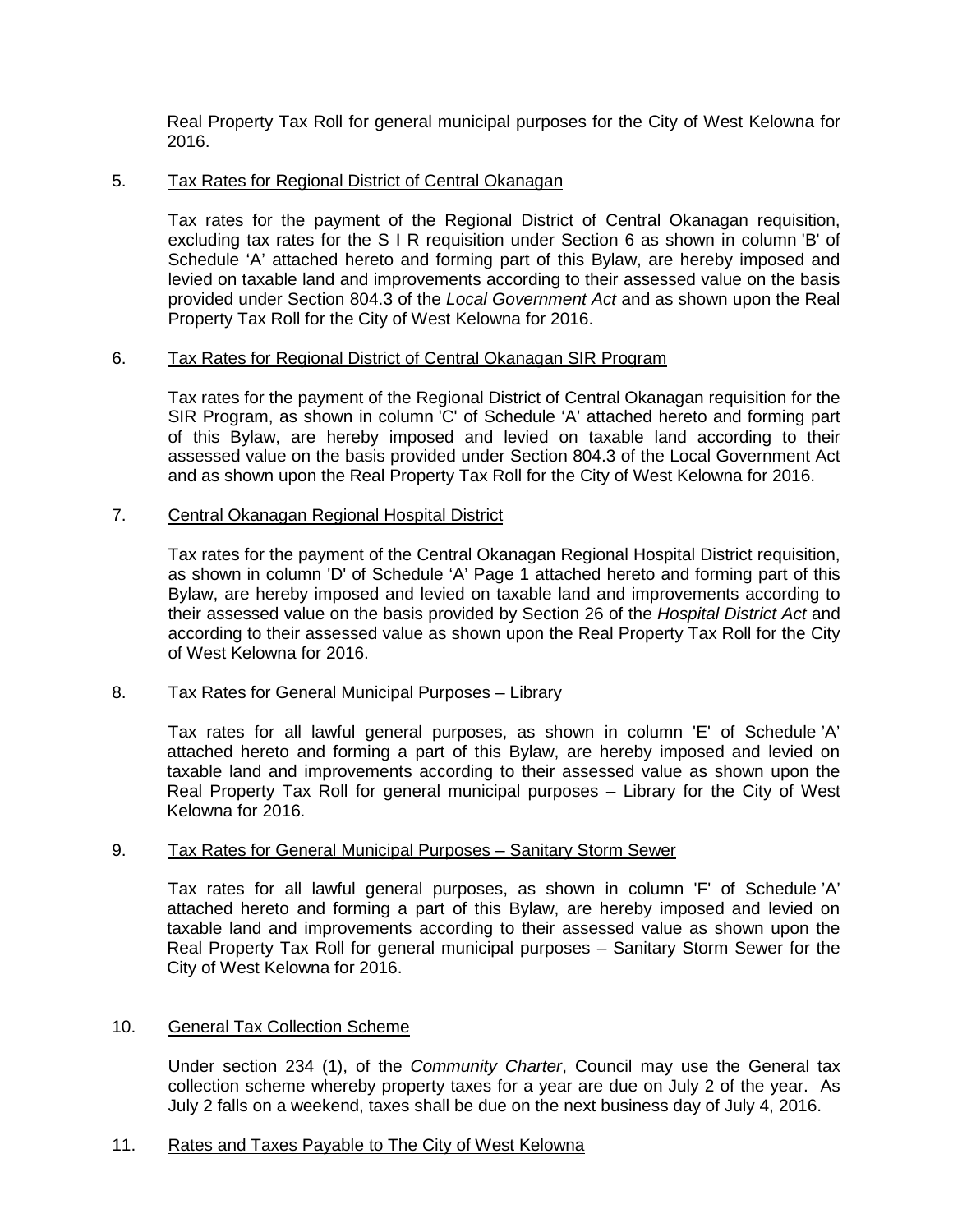Real Property Tax Roll for general municipal purposes for the City of West Kelowna for 2016.

# 5. Tax Rates for Regional District of Central Okanagan

Tax rates for the payment of the Regional District of Central Okanagan requisition, excluding tax rates for the S I R requisition under Section 6 as shown in column 'B' of Schedule 'A' attached hereto and forming part of this Bylaw, are hereby imposed and levied on taxable land and improvements according to their assessed value on the basis provided under Section 804.3 of the *Local Government Act* and as shown upon the Real Property Tax Roll for the City of West Kelowna for 2016.

# 6. Tax Rates for Regional District of Central Okanagan SIR Program

Tax rates for the payment of the Regional District of Central Okanagan requisition for the SIR Program, as shown in column 'C' of Schedule 'A' attached hereto and forming part of this Bylaw, are hereby imposed and levied on taxable land according to their assessed value on the basis provided under Section 804.3 of the Local Government Act and as shown upon the Real Property Tax Roll for the City of West Kelowna for 2016.

# 7. Central Okanagan Regional Hospital District

Tax rates for the payment of the Central Okanagan Regional Hospital District requisition, as shown in column 'D' of Schedule 'A' Page 1 attached hereto and forming part of this Bylaw, are hereby imposed and levied on taxable land and improvements according to their assessed value on the basis provided by Section 26 of the *Hospital District Act* and according to their assessed value as shown upon the Real Property Tax Roll for the City of West Kelowna for 2016.

# 8. Tax Rates for General Municipal Purposes - Library

Tax rates for all lawful general purposes, as shown in column 'E' of Schedule 'A' attached hereto and forming a part of this Bylaw, are hereby imposed and levied on taxable land and improvements according to their assessed value as shown upon the Real Property Tax Roll for general municipal purposes – Library for the City of West Kelowna for 2016.

# 9. Tax Rates for General Municipal Purposes - Sanitary Storm Sewer

Tax rates for all lawful general purposes, as shown in column 'F' of Schedule 'A' attached hereto and forming a part of this Bylaw, are hereby imposed and levied on taxable land and improvements according to their assessed value as shown upon the Real Property Tax Roll for general municipal purposes – Sanitary Storm Sewer for the City of West Kelowna for 2016.

# 10. General Tax Collection Scheme

Under section 234 (1), of the *Community Charter*, Council may use the General tax collection scheme whereby property taxes for a year are due on July 2 of the year. As July 2 falls on a weekend, taxes shall be due on the next business day of July 4, 2016.

## 11. Rates and Taxes Payable to The City of West Kelowna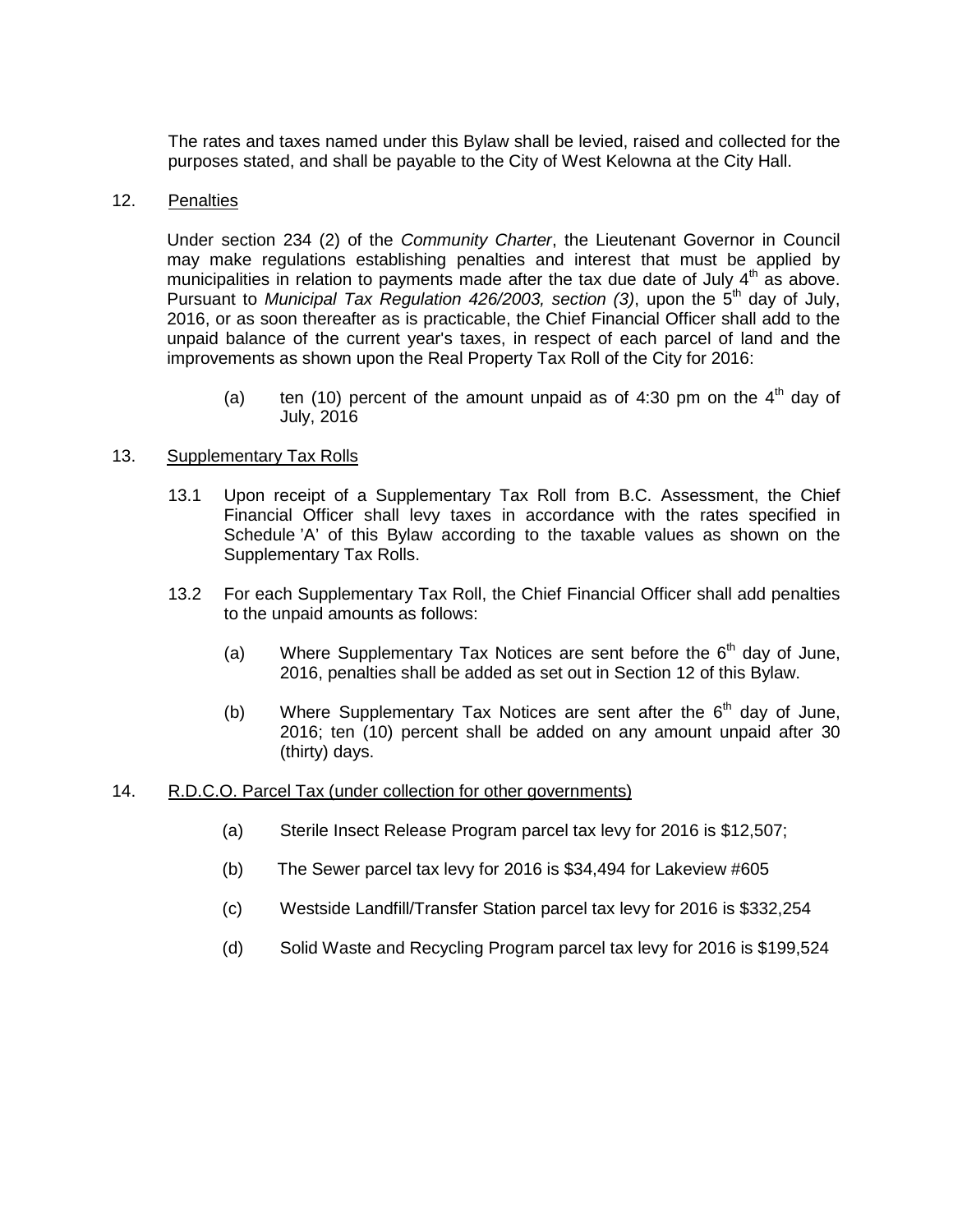The rates and taxes named under this Bylaw shall be levied, raised and collected for the purposes stated, and shall be payable to the City of West Kelowna at the City Hall.

#### 12. Penalties

Under section 234 (2) of the *Community Charter*, the Lieutenant Governor in Council may make regulations establishing penalties and interest that must be applied by municipalities in relation to payments made after the tax due date of July  $4<sup>th</sup>$  as above. Pursuant to *Municipal Tax Regulation 426/2003, section (3)*, upon the 5<sup>th</sup> day of July, 2016, or as soon thereafter as is practicable, the Chief Financial Officer shall add to the unpaid balance of the current year's taxes, in respect of each parcel of land and the improvements as shown upon the Real Property Tax Roll of the City for 2016:

(a) ten (10) percent of the amount unpaid as of 4:30 pm on the  $4<sup>th</sup>$  day of July, 2016

## 13. Supplementary Tax Rolls

- 13.1 Upon receipt of a Supplementary Tax Roll from B.C. Assessment, the Chief Financial Officer shall levy taxes in accordance with the rates specified in Schedule 'A' of this Bylaw according to the taxable values as shown on the Supplementary Tax Rolls.
- 13.2 For each Supplementary Tax Roll, the Chief Financial Officer shall add penalties to the unpaid amounts as follows:
	- (a) Where Supplementary Tax Notices are sent before the  $6<sup>th</sup>$  day of June, 2016, penalties shall be added as set out in Section 12 of this Bylaw.
	- (b) Where Supplementary Tax Notices are sent after the  $6<sup>th</sup>$  day of June, 2016; ten (10) percent shall be added on any amount unpaid after 30 (thirty) days.
- 14. R.D.C.O. Parcel Tax (under collection for other governments)
	- (a) Sterile Insect Release Program parcel tax levy for 2016 is \$12,507;
	- (b) The Sewer parcel tax levy for 2016 is \$34,494 for Lakeview #605
	- (c) Westside Landfill/Transfer Station parcel tax levy for 2016 is \$332,254
	- (d) Solid Waste and Recycling Program parcel tax levy for 2016 is \$199,524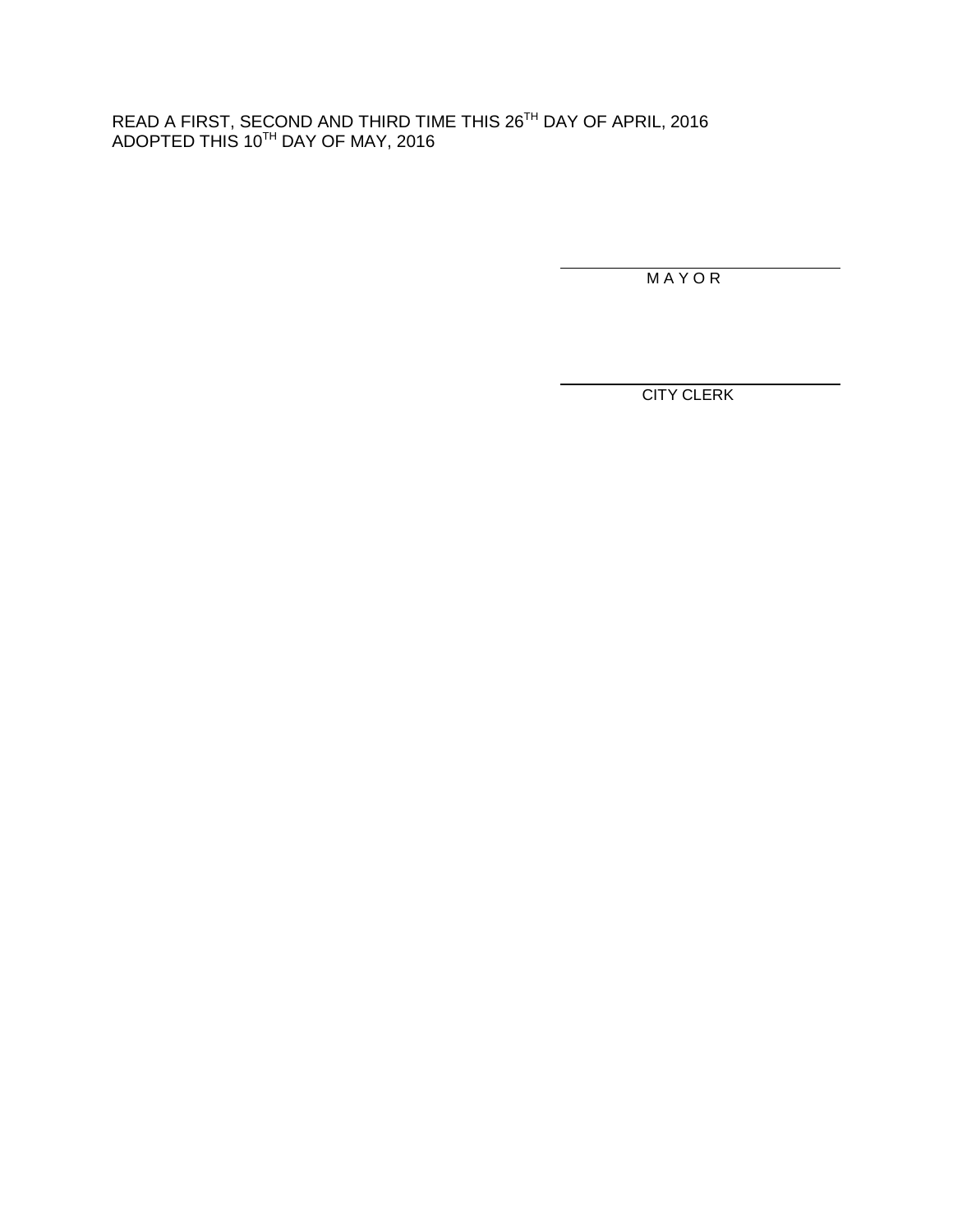# READ A FIRST, SECOND AND THIRD TIME THIS 26TH DAY OF APRIL, 2016 <code>ADOPTED</code> THIS 10 $^{\textsf{TH}}$  DAY OF MAY, 2016

M A Y O R

CITY CLERK